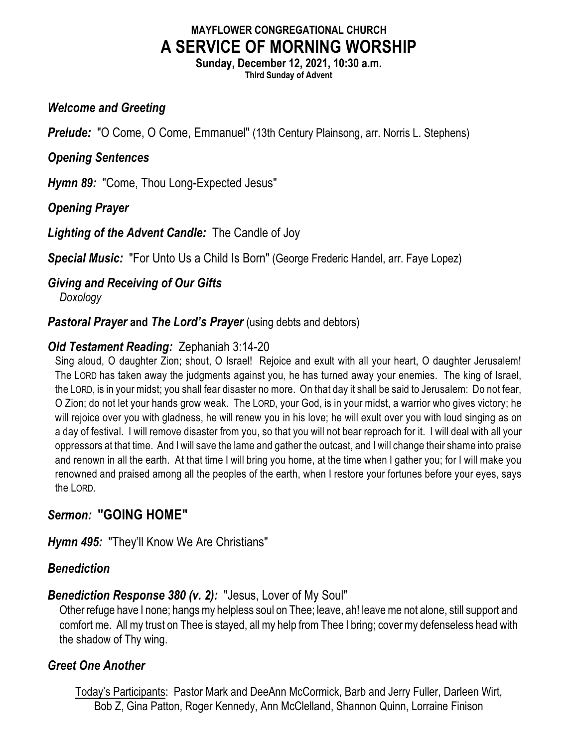# **MAYFLOWER CONGREGATIONAL CHURCH A SERVICE OF MORNING WORSHIP**

**Sunday, December 12, 2021, 10:30 a.m. Third Sunday of Advent**

#### *Welcome and Greeting*

**Prelude:** "O Come, O Come, Emmanuel" (13th Century Plainsong, arr. Norris L. Stephens)

#### *Opening Sentences*

*Hymn 89:* "Come, Thou Long-Expected Jesus"

*Opening Prayer*

*Lighting of the Advent Candle:* The Candle of Joy

*Special Music:* "For Unto Us a Child Is Born" (George Frederic Handel, arr. Faye Lopez)

# *Giving and Receiving of Our Gifts*

*Doxology*

**Pastoral Prayer and The Lord's Prayer** (using debts and debtors)

## *Old Testament Reading:* Zephaniah 3:14-20

Sing aloud, O daughter Zion; shout, O Israel! Rejoice and exult with all your heart, O daughter Jerusalem! The LORD has taken away the judgments against you, he has turned away your enemies. The king of Israel, the LORD, is in your midst; you shall fear disaster no more. On that day it shall be said to Jerusalem: Do not fear, O Zion; do not let your hands grow weak. The LORD, your God, is in your midst, a warrior who gives victory; he will rejoice over you with gladness, he will renew you in his love; he will exult over you with loud singing as on a day of festival. I will remove disaster from you, so that you will not bear reproach for it. I will deal with all your oppressors at that time. And I will save the lame and gather the outcast, and I will change their shame into praise and renown in all the earth. At that time I will bring you home, at the time when I gather you; for I will make you renowned and praised among all the peoples of the earth, when I restore your fortunes before your eyes, says the LORD.

## *Sermon:* **"GOING HOME"**

*Hymn 495:* "They'll Know We Are Christians"

## *Benediction*

## *Benediction Response 380 (v. 2):* "Jesus, Lover of My Soul"

Other refuge have I none; hangs my helpless soul on Thee; leave, ah! leave me not alone, still support and comfort me. All my trust on Thee is stayed, all my help from Thee I bring; covermy defenseless head with the shadow of Thy wing.

## *Greet One Another*

Today's Participants: Pastor Mark and DeeAnn McCormick, Barb and Jerry Fuller, Darleen Wirt, Bob Z, Gina Patton, Roger Kennedy, Ann McClelland, Shannon Quinn, Lorraine Finison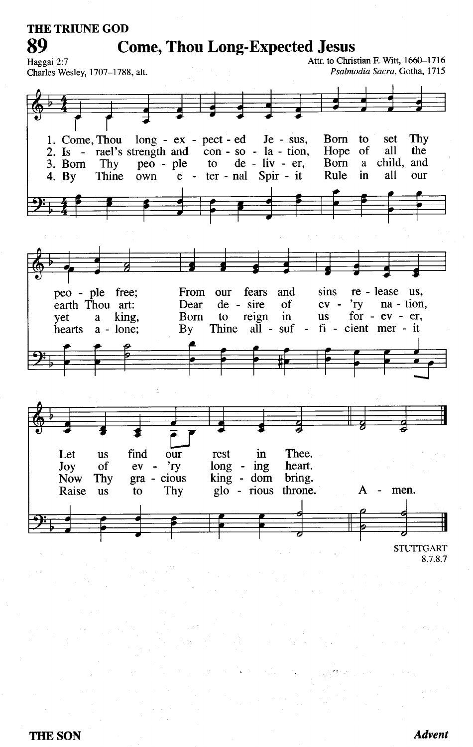**THE TRIUNE GOD** 

89

**Come, Thou Long-Expected Jesus** 

Attr. to Christian F. Witt, 1660-1716 Haggai 2:7 Psalmodia Sacra, Gotha, 1715 Charles Wesley, 1707-1788, alt. 1. Come, Thou Thy long - ex - pect - ed  $Je - sus,$ **B**orn to set 2. Is - rael's strength and  $\overline{con}$  - so - la - tion, Hope of all the  $de - liv - er,$ child, and 3. Born Thy peo - ple  $10<sup>1</sup>$ **B**orn a Rule in all 4. By **Thine** own ter - nal Spir - it our  $e$ peo - ple free; re - lease us. From our fears and sins na - tion, de - sire earth Thou art: Dear of  $ev$  $r_{\rm TV}$ king, Born to reign in **us** for  $-ev - er$ , yet a Thine  $a\tilde{l}$  - suf fi - cient mer - it hearts  $a - l$ one;  $\mathbf{B}\mathbf{v}$  $\blacksquare$ find in Thee. Let **us** our rest Joy of 'ry  $long - ing$ heart.  $ev$  $\sim$ king - dom bring. **Now** Thy  $gra - cious$ glo - rious throne. A men. Raise **us** to Thy  $\overline{\phantom{a}}$ **STUTTGART** 

8.7.8.7

**Advent**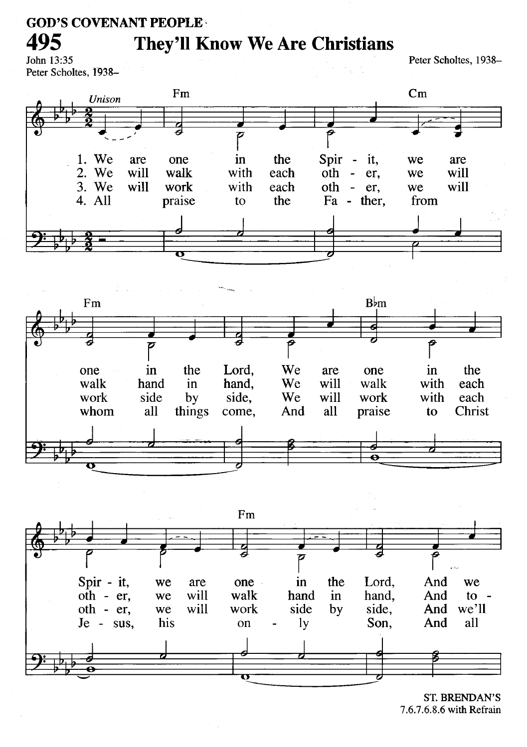#### **GOD'S COVENANT PEOPLE**

## **They'll Know We Are Christians**

John 13:35 Peter Scholtes, 1938-

495

Peter Scholtes, 1938-







**ST. BRENDAN'S** 7.6.7.6.8.6 with Refrain